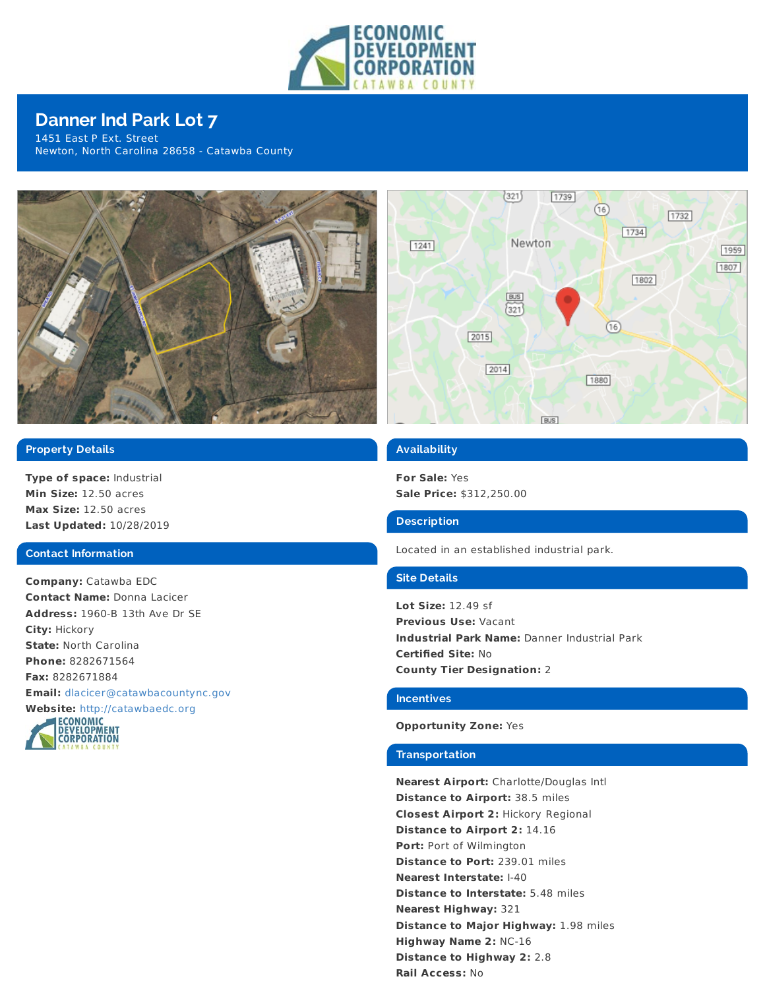

# **Danner Ind Park Lot 7**

1451 East P Ext. Street Newton, North Carolina 28658 - Catawba County



# **Property Details**

**Type of space:** Industrial **Min Size:** 12.50 acres **Max Size:** 12.50 acres **Last Updated:** 10/28/2019

## **Contact Information**

**Company:** Catawba EDC **Contact Name:** Donna Lacicer **Address:** 1960-B 13th Ave Dr SE **City:** Hickory **State:** North Carolina **Phone:** 8282671564 **Fax:** 8282671884 **Email:** [dlacicer@catawbacountync.gov](mailto:dlacicer@catawbacountync.gov)





# **Availability**

**For Sale:** Yes **Sale Price:** \$312,250.00

## **Description**

Located in an established industrial park.

# **Site Details**

**Lot Size:** 12.49 sf **Previous Use:** Vacant **Industrial Park Name:** Danner Industrial Park **Certified Site:** No **County Tier Designation:** 2

#### **Incentives**

#### **Opportunity Zone:** Yes

## **Transportation**

**Nearest Airport:** Charlotte/Douglas Intl **Distance to Airport:** 38.5 miles **Closest Airport 2:** Hickory Regional **Distance to Airport 2:** 14.16 **Port:** Port of Wilmington **Distance to Port:** 239.01 miles **Nearest Interstate:** I-40 **Distance to Interstate:** 5.48 miles **Nearest Highway:** 321 **Distance to Major Highway:** 1.98 miles **Highway Name 2:** NC-16 **Distance to Highway 2:** 2.8 **Rail Access:** No